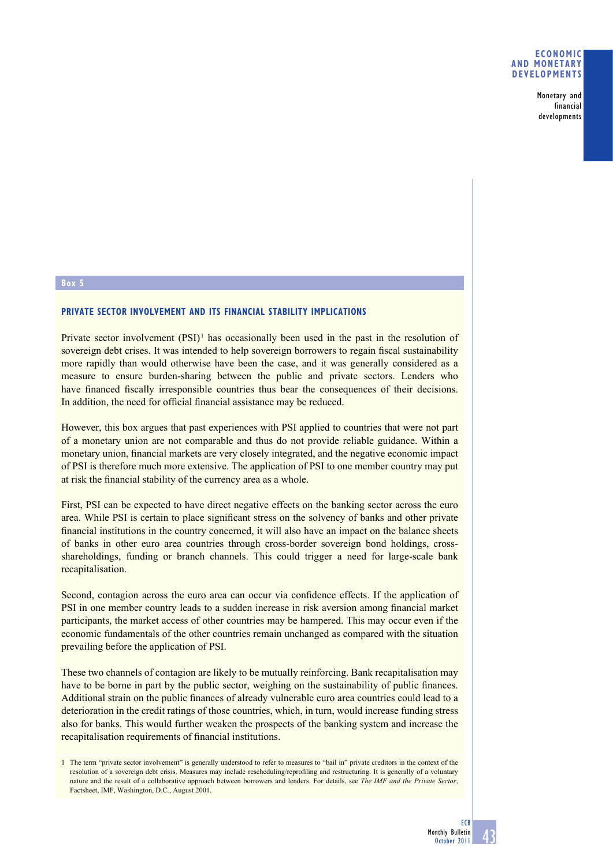Monetary and financial developments

## **Box 5**

## **PRIVATE SECTOR INVOLVEMENT AND ITS FINANCIAL STABILITY IMPLICATIONS**

Private sector involvement (PSI)<sup>1</sup> has occasionally been used in the past in the resolution of sovereign debt crises. It was intended to help sovereign borrowers to regain fiscal sustainability more rapidly than would otherwise have been the case, and it was generally considered as a measure to ensure burden-sharing between the public and private sectors. Lenders who have financed fiscally irresponsible countries thus bear the consequences of their decisions. In addition, the need for official financial assistance may be reduced.

However, this box argues that past experiences with PSI applied to countries that were not part of a monetary union are not comparable and thus do not provide reliable guidance. Within a monetary union, financial markets are very closely integrated, and the negative economic impact of PSI is therefore much more extensive. The application of PSI to one member country may put at risk the financial stability of the currency area as a whole.

First, PSI can be expected to have direct negative effects on the banking sector across the euro area. While PSI is certain to place significant stress on the solvency of banks and other private financial institutions in the country concerned, it will also have an impact on the balance sheets of banks in other euro area countries through cross-border sovereign bond holdings, crossshareholdings, funding or branch channels. This could trigger a need for large-scale bank recapitalisation.

Second, contagion across the euro area can occur via confidence effects. If the application of PSI in one member country leads to a sudden increase in risk aversion among financial market participants, the market access of other countries may be hampered. This may occur even if the economic fundamentals of the other countries remain unchanged as compared with the situation prevailing before the application of PSI.

These two channels of contagion are likely to be mutually reinforcing. Bank recapitalisation may have to be borne in part by the public sector, weighing on the sustainability of public finances. Additional strain on the public finances of already vulnerable euro area countries could lead to a deterioration in the credit ratings of those countries, which, in turn, would increase funding stress also for banks. This would further weaken the prospects of the banking system and increase the recapitalisation requirements of financial institutions.

<sup>1</sup> The term "private sector involvement" is generally understood to refer to measures to "bail in" private creditors in the context of the resolution of a sovereign debt crisis. Measures may include rescheduling/reprofiling and restructuring. It is generally of a voluntary nature and the result of a collaborative approach between borrowers and lenders. For details, see *The IMF and the Private Sector*, Factsheet, IMF, Washington, D.C., August 2001.